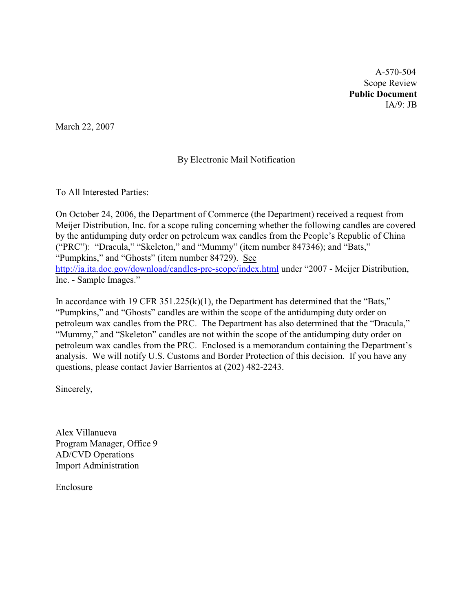A-570-504 Scope Review **Public Document** IA/9: JB

March 22, 2007

### By Electronic Mail Notification

To All Interested Parties:

On October 24, 2006, the Department of Commerce (the Department) received a request from Meijer Distribution, Inc. for a scope ruling concerning whether the following candles are covered by the antidumping duty order on petroleum wax candles from the People's Republic of China ("PRC"): "Dracula," "Skeleton," and "Mummy" (item number 847346); and "Bats," "Pumpkins," and "Ghosts" (item number 84729). See <http://ia.ita.doc.gov/download/candles-prc-scope/index.html> under "2007 - Meijer Distribution, Inc. - Sample Images."

In accordance with 19 CFR  $351.225(k)(1)$ , the Department has determined that the "Bats," "Pumpkins," and "Ghosts" candles are within the scope of the antidumping duty order on petroleum wax candles from the PRC. The Department has also determined that the "Dracula," "Mummy," and "Skeleton" candles are not within the scope of the antidumping duty order on petroleum wax candles from the PRC. Enclosed is a memorandum containing the Department's analysis. We will notify U.S. Customs and Border Protection of this decision. If you have any questions, please contact Javier Barrientos at (202) 482-2243.

Sincerely,

Alex Villanueva Program Manager, Office 9 AD/CVD Operations Import Administration

Enclosure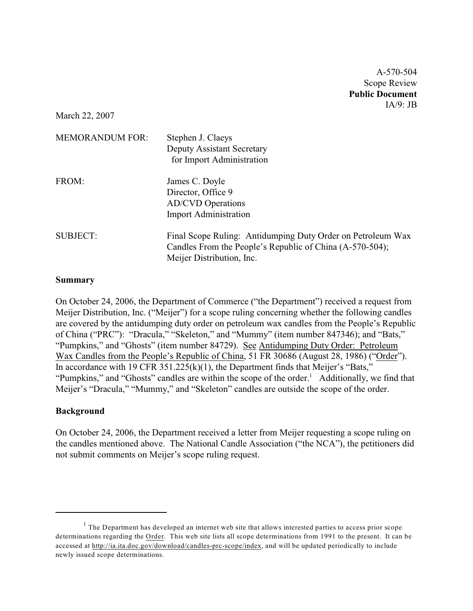A-570-504 Scope Review **Public Document** IA/9: JB

March 22, 2007

| <b>MEMORANDUM FOR:</b> | Stephen J. Claeys<br><b>Deputy Assistant Secretary</b><br>for Import Administration                                                                  |
|------------------------|------------------------------------------------------------------------------------------------------------------------------------------------------|
| FROM:                  | James C. Doyle<br>Director, Office 9<br><b>AD/CVD</b> Operations<br><b>Import Administration</b>                                                     |
| <b>SUBJECT:</b>        | Final Scope Ruling: Antidumping Duty Order on Petroleum Wax<br>Candles From the People's Republic of China (A-570-504);<br>Meijer Distribution, Inc. |
|                        |                                                                                                                                                      |

#### **Summary**

On October 24, 2006, the Department of Commerce ("the Department") received a request from Meijer Distribution, Inc. ("Meijer") for a scope ruling concerning whether the following candles are covered by the antidumping duty order on petroleum wax candles from the People's Republic of China ("PRC"): "Dracula," "Skeleton," and "Mummy" (item number 847346); and "Bats," "Pumpkins," and "Ghosts" (item number 84729). See Antidumping Duty Order: Petroleum Wax Candles from the People's Republic of China, 51 FR 30686 (August 28, 1986) ("Order"). In accordance with 19 CFR 351.225(k)(1), the Department finds that Meijer's "Bats," "Pumpkins," and "Ghosts" candles are within the scope of the order. $<sup>1</sup>$  Additionally, we find that</sup> Meijer's "Dracula," "Mummy," and "Skeleton" candles are outside the scope of the order.

#### **Background**

On October 24, 2006, the Department received a letter from Meijer requesting a scope ruling on the candles mentioned above. The National Candle Association ("the NCA"), the petitioners did not submit comments on Meijer's scope ruling request.

 $1$  The Department has developed an internet web site that allows interested parties to access prior scope determinations regarding the Order. This web site lists all scope determinations from 1991 to the present. It can be accessed at [http://ia.ita.doc.gov/download/candles-prc-scope/index,](http://ia.ita.doc.gov/download/candles-prc-scope/,) and will be updated periodically to include newly issued scope determinations.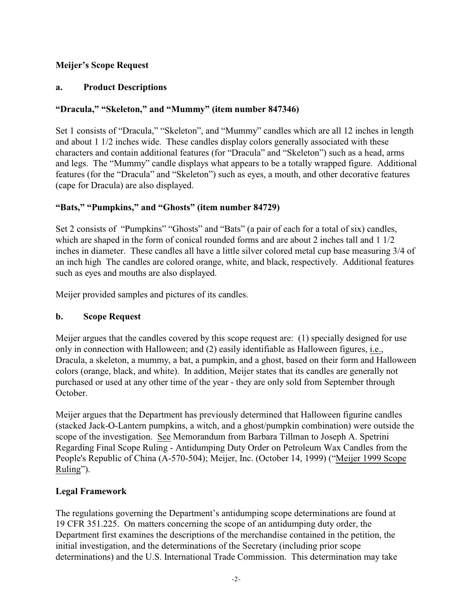## **Meijer's Scope Request**

### **a. Product Descriptions**

## **"Dracula," "Skeleton," and "Mummy" (item number 847346)**

Set 1 consists of "Dracula," "Skeleton", and "Mummy" candles which are all 12 inches in length and about 1 1/2 inches wide. These candles display colors generally associated with these characters and contain additional features (for "Dracula" and "Skeleton") such as a head, arms and legs. The "Mummy" candle displays what appears to be a totally wrapped figure. Additional features (for the "Dracula" and "Skeleton") such as eyes, a mouth, and other decorative features (cape for Dracula) are also displayed.

## **"Bats," "Pumpkins," and "Ghosts" (item number 84729)**

Set 2 consists of "Pumpkins" "Ghosts" and "Bats" (a pair of each for a total of six) candles, which are shaped in the form of conical rounded forms and are about 2 inches tall and 1 1/2 inches in diameter. These candles all have a little silver colored metal cup base measuring 3/4 of an inch high The candles are colored orange, white, and black, respectively. Additional features such as eyes and mouths are also displayed.

Meijer provided samples and pictures of its candles.

### **b. Scope Request**

Meijer argues that the candles covered by this scope request are: (1) specially designed for use only in connection with Halloween; and (2) easily identifiable as Halloween figures, i.e., Dracula, a skeleton, a mummy, a bat, a pumpkin, and a ghost, based on their form and Halloween colors (orange, black, and white). In addition, Meijer states that its candles are generally not purchased or used at any other time of the year - they are only sold from September through October.

Meijer argues that the Department has previously determined that Halloween figurine candles (stacked Jack-O-Lantern pumpkins, a witch, and a ghost/pumpkin combination) were outside the scope of the investigation. See Memorandum from Barbara Tillman to Joseph A. Spetrini Regarding Final Scope Ruling - Antidumping Duty Order on Petroleum Wax Candles from the People's Republic of China (A-570-504); Meijer, Inc. (October 14, 1999) ("Meijer 1999 Scope Ruling").

# **Legal Framework**

The regulations governing the Department's antidumping scope determinations are found at 19 CFR 351.225. On matters concerning the scope of an antidumping duty order, the Department first examines the descriptions of the merchandise contained in the petition, the initial investigation, and the determinations of the Secretary (including prior scope determinations) and the U.S. International Trade Commission. This determination may take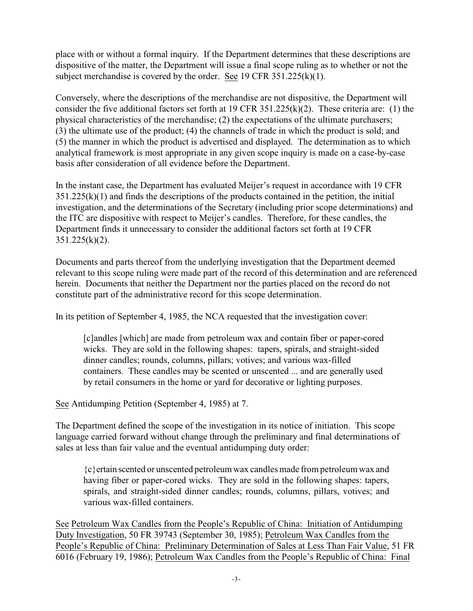place with or without a formal inquiry. If the Department determines that these descriptions are dispositive of the matter, the Department will issue a final scope ruling as to whether or not the subject merchandise is covered by the order. See 19 CFR 351.225(k)(1).

Conversely, where the descriptions of the merchandise are not dispositive, the Department will consider the five additional factors set forth at 19 CFR 351.225(k)(2). These criteria are: (1) the physical characteristics of the merchandise; (2) the expectations of the ultimate purchasers; (3) the ultimate use of the product; (4) the channels of trade in which the product is sold; and (5) the manner in which the product is advertised and displayed. The determination as to which analytical framework is most appropriate in any given scope inquiry is made on a case-by-case basis after consideration of all evidence before the Department.

In the instant case, the Department has evaluated Meijer's request in accordance with 19 CFR  $351.225(k)(1)$  and finds the descriptions of the products contained in the petition, the initial investigation, and the determinations of the Secretary (including prior scope determinations) and the ITC are dispositive with respect to Meijer's candles. Therefore, for these candles, the Department finds it unnecessary to consider the additional factors set forth at 19 CFR  $351.225(k)(2)$ .

Documents and parts thereof from the underlying investigation that the Department deemed relevant to this scope ruling were made part of the record of this determination and are referenced herein. Documents that neither the Department nor the parties placed on the record do not constitute part of the administrative record for this scope determination.

In its petition of September 4, 1985, the NCA requested that the investigation cover:

[c]andles [which] are made from petroleum wax and contain fiber or paper-cored wicks. They are sold in the following shapes: tapers, spirals, and straight-sided dinner candles; rounds, columns, pillars; votives; and various wax-filled containers. These candles may be scented or unscented ... and are generally used by retail consumers in the home or yard for decorative or lighting purposes.

See Antidumping Petition (September 4, 1985) at 7.

The Department defined the scope of the investigation in its notice of initiation. This scope language carried forward without change through the preliminary and final determinations of sales at less than fair value and the eventual antidumping duty order:

{c}ertain scented or unscented petroleum wax candles made from petroleum wax and having fiber or paper-cored wicks. They are sold in the following shapes: tapers, spirals, and straight-sided dinner candles; rounds, columns, pillars, votives; and various wax-filled containers.

See Petroleum Wax Candles from the People's Republic of China: Initiation of Antidumping Duty Investigation, 50 FR 39743 (September 30, 1985); Petroleum Wax Candles from the People's Republic of China: Preliminary Determination of Sales at Less Than Fair Value, 51 FR 6016 (February 19, 1986); Petroleum Wax Candles from the People's Republic of China: Final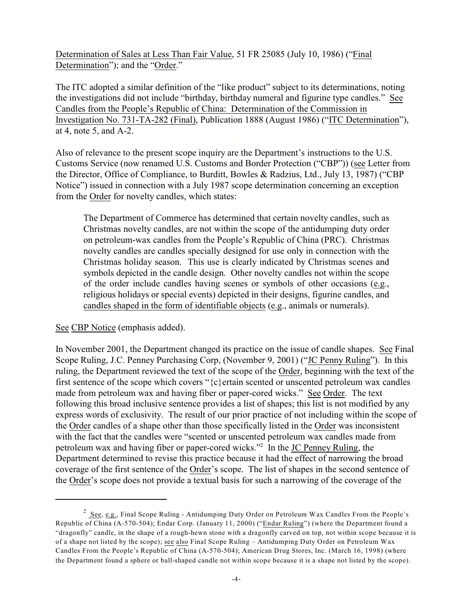Determination of Sales at Less Than Fair Value, 51 FR 25085 (July 10, 1986) ("Final Determination"); and the "Order."

The ITC adopted a similar definition of the "like product" subject to its determinations, noting the investigations did not include "birthday, birthday numeral and figurine type candles." See Candles from the People's Republic of China: Determination of the Commission in Investigation No. 731-TA-282 (Final), Publication 1888 (August 1986) ("ITC Determination"), at 4, note 5, and A-2.

Also of relevance to the present scope inquiry are the Department's instructions to the U.S. Customs Service (now renamed U.S. Customs and Border Protection ("CBP")) (see Letter from the Director, Office of Compliance, to Burditt, Bowles & Radzius, Ltd., July 13, 1987) ("CBP Notice") issued in connection with a July 1987 scope determination concerning an exception from the Order for novelty candles, which states:

The Department of Commerce has determined that certain novelty candles, such as Christmas novelty candles, are not within the scope of the antidumping duty order on petroleum-wax candles from the People's Republic of China (PRC). Christmas novelty candles are candles specially designed for use only in connection with the Christmas holiday season. This use is clearly indicated by Christmas scenes and symbols depicted in the candle design. Other novelty candles not within the scope of the order include candles having scenes or symbols of other occasions (e.g., religious holidays or special events) depicted in their designs, figurine candles, and candles shaped in the form of identifiable objects (e.g., animals or numerals).

See CBP Notice (emphasis added).

In November 2001, the Department changed its practice on the issue of candle shapes. See Final Scope Ruling, J.C. Penney Purchasing Corp, (November 9, 2001) ("JC Penny Ruling"). In this ruling, the Department reviewed the text of the scope of the Order, beginning with the text of the first sentence of the scope which covers " ${c}$ } ertain scented or unscented petroleum wax candles made from petroleum wax and having fiber or paper-cored wicks." See Order. The text following this broad inclusive sentence provides a list of shapes; this list is not modified by any express words of exclusivity. The result of our prior practice of not including within the scope of the Order candles of a shape other than those specifically listed in the Order was inconsistent with the fact that the candles were "scented or unscented petroleum wax candles made from petroleum wax and having fiber or paper-cored wicks."<sup>2</sup> In the JC Penney Ruling, the Department determined to revise this practice because it had the effect of narrowing the broad coverage of the first sentence of the Order's scope. The list of shapes in the second sentence of the Order's scope does not provide a textual basis for such a narrowing of the coverage of the

<sup>&</sup>lt;sup>2</sup> See, e.g., Final Scope Ruling - Antidumping Duty Order on Petroleum Wax Candles From the People's Republic of China (A-570-504); Endar Corp. (January 11, 2000) ("Endar Ruling") (where the Department found a "dragonfly" candle, in the shape of a rough-hewn stone with a dragonfly carved on top, not within scope because it is of a shape not listed by the scope); see also Final Scope Ruling – Antidumping Duty Order on Petroleum Wax Candles From the People's Republic of China (A-570-504); American Drug Stores, Inc. (March 16, 1998) (where the Department found a sphere or ball-shaped candle not within scope because it is a shape not listed by the scope).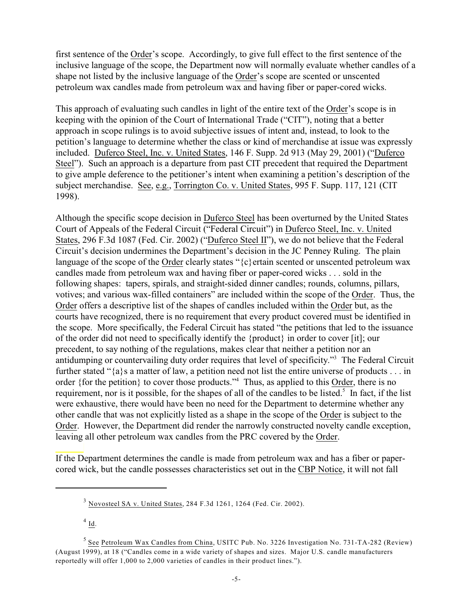first sentence of the Order's scope. Accordingly, to give full effect to the first sentence of the inclusive language of the scope, the Department now will normally evaluate whether candles of a shape not listed by the inclusive language of the Order's scope are scented or unscented petroleum wax candles made from petroleum wax and having fiber or paper-cored wicks.

This approach of evaluating such candles in light of the entire text of the Order's scope is in keeping with the opinion of the Court of International Trade ("CIT"), noting that a better approach in scope rulings is to avoid subjective issues of intent and, instead, to look to the petition's language to determine whether the class or kind of merchandise at issue was expressly included. Duferco Steel, Inc. v. United States, 146 F. Supp. 2d 913 (May 29, 2001) ("Duferco Steel"). Such an approach is a departure from past CIT precedent that required the Department to give ample deference to the petitioner's intent when examining a petition's description of the subject merchandise. See, e.g., Torrington Co. v. United States, 995 F. Supp. 117, 121 (CIT 1998).

Although the specific scope decision in Duferco Steel has been overturned by the United States Court of Appeals of the Federal Circuit ("Federal Circuit") in Duferco Steel, Inc. v. United States, 296 F.3d 1087 (Fed. Cir. 2002) ("Duferco Steel II"), we do not believe that the Federal Circuit's decision undermines the Department's decision in the JC Penney Ruling. The plain language of the scope of the Order clearly states "{c}ertain scented or unscented petroleum wax candles made from petroleum wax and having fiber or paper-cored wicks . . . sold in the following shapes: tapers, spirals, and straight-sided dinner candles; rounds, columns, pillars, votives; and various wax-filled containers" are included within the scope of the Order. Thus, the Order offers a descriptive list of the shapes of candles included within the Order but, as the courts have recognized, there is no requirement that every product covered must be identified in the scope. More specifically, the Federal Circuit has stated "the petitions that led to the issuance of the order did not need to specifically identify the {product} in order to cover [it]; our precedent, to say nothing of the regulations, makes clear that neither a petition nor an antidumping or countervailing duty order requires that level of specificity."<sup>3</sup> The Federal Circuit further stated "{a}s a matter of law, a petition need not list the entire universe of products . . . in order {for the petition} to cover those products."<sup>4</sup> Thus, as applied to this Order, there is no requirement, nor is it possible, for the shapes of all of the candles to be listed.<sup>5</sup> In fact, if the list were exhaustive, there would have been no need for the Department to determine whether any other candle that was not explicitly listed as a shape in the scope of the Order is subject to the Order. However, the Department did render the narrowly constructed novelty candle exception, leaving all other petroleum wax candles from the PRC covered by the Order.

If the Department determines the candle is made from petroleum wax and has a fiber or papercored wick, but the candle possesses characteristics set out in the CBP Notice, it will not fall

 $4$  Id.

 $3$  Novosteel SA v. United States, 284 F.3d 1261, 1264 (Fed. Cir. 2002).

<sup>&</sup>lt;sup>5</sup> See Petroleum Wax Candles from China, USITC Pub. No. 3226 Investigation No. 731-TA-282 (Review) (August 1999), at 18 ("Candles come in a wide variety of shapes and sizes. Major U.S. candle manufacturers reportedly will offer 1,000 to 2,000 varieties of candles in their product lines.").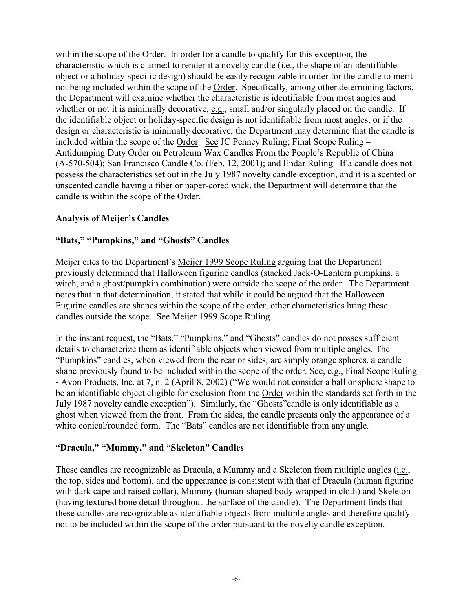within the scope of the Order. In order for a candle to qualify for this exception, the characteristic which is claimed to render it a novelty candle (i.e., the shape of an identifiable object or a holiday-specific design) should be easily recognizable in order for the candle to merit not being included within the scope of the Order. Specifically, among other determining factors, the Department will examine whether the characteristic is identifiable from most angles and whether or not it is minimally decorative, e.g., small and/or singularly placed on the candle. If the identifiable object or holiday-specific design is not identifiable from most angles, or if the design or characteristic is minimally decorative, the Department may determine that the candle is included within the scope of the Order. See JC Penney Ruling; Final Scope Ruling – Antidumping Duty Order on Petroleum Wax Candles From the People's Republic of China (A-570-504); San Francisco Candle Co. (Feb. 12, 2001); and Endar Ruling. If a candle does not possess the characteristics set out in the July 1987 novelty candle exception, and it is a scented or unscented candle having a fiber or paper-cored wick, the Department will determine that the candle is within the scope of the Order.

## **Analysis of Meijer's Candles**

## **"Bats," "Pumpkins," and "Ghosts" Candles**

Meijer cites to the Department's Meijer 1999 Scope Ruling arguing that the Department previously determined that Halloween figurine candles (stacked Jack-O-Lantern pumpkins, a witch, and a ghost/pumpkin combination) were outside the scope of the order. The Department notes that in that determination, it stated that while it could be argued that the Halloween Figurine candles are shapes within the scope of the order, other characteristics bring these candles outside the scope. See Meijer 1999 Scope Ruling.

In the instant request, the "Bats," "Pumpkins," and "Ghosts" candles do not posses sufficient details to characterize them as identifiable objects when viewed from multiple angles. The "Pumpkins" candles, when viewed from the rear or sides, are simply orange spheres, a candle shape previously found to be included within the scope of the order. See, e.g., Final Scope Ruling - Avon Products, Inc. at 7, n. 2 (April 8, 2002) ("We would not consider a ball or sphere shape to be an identifiable object eligible for exclusion from the Order within the standards set forth in the July 1987 novelty candle exception"). Similarly, the "Ghosts"candle is only identifiable as a ghost when viewed from the front. From the sides, the candle presents only the appearance of a white conical/rounded form. The "Bats" candles are not identifiable from any angle.

### **"Dracula," "Mummy," and "Skeleton" Candles**

These candles are recognizable as Dracula, a Mummy and a Skeleton from multiple angles (i.e., the top, sides and bottom), and the appearance is consistent with that of Dracula (human figurine with dark cape and raised collar), Mummy (human-shaped body wrapped in cloth) and Skeleton (having textured bone detail throughout the surface of the candle). The Department finds that these candles are recognizable as identifiable objects from multiple angles and therefore qualify not to be included within the scope of the order pursuant to the novelty candle exception.